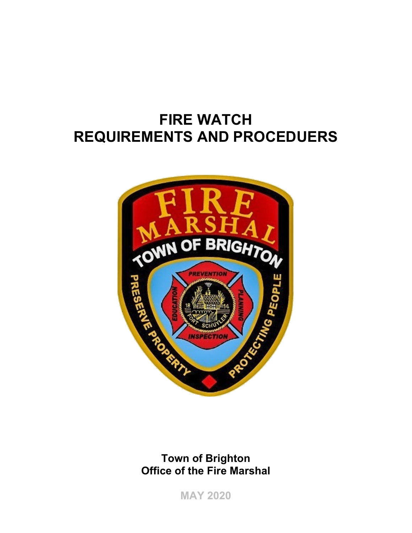# **FIRE WATCH REQUIREMENTS AND PROCEDUERS**



### **Town of Brighton Office of the Fire Marshal**

**MAY 2020**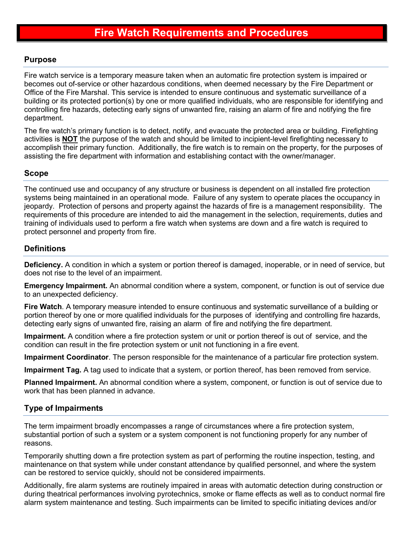#### **Purpose**

Fire watch service is a temporary measure taken when an automatic fire protection system is impaired or becomes out of-service or other hazardous conditions, when deemed necessary by the Fire Department or Office of the Fire Marshal. This service is intended to ensure continuous and systematic surveillance of a building or its protected portion(s) by one or more qualified individuals, who are responsible for identifying and controlling fire hazards, detecting early signs of unwanted fire, raising an alarm of fire and notifying the fire department.

The fire watch's primary function is to detect, notify, and evacuate the protected area or building. Firefighting activities is **NOT** the purpose of the watch and should be limited to incipient-level firefighting necessary to accomplish their primary function. Additionally, the fire watch is to remain on the property, for the purposes of assisting the fire department with information and establishing contact with the owner/manager.

#### **Scope**

The continued use and occupancy of any structure or business is dependent on all installed fire protection systems being maintained in an operational mode. Failure of any system to operate places the occupancy in jeopardy. Protection of persons and property against the hazards of fire is a management responsibility. The requirements of this procedure are intended to aid the management in the selection, requirements, duties and training of individuals used to perform a fire watch when systems are down and a fire watch is required to protect personnel and property from fire.

#### **Definitions**

**Deficiency.** A condition in which a system or portion thereof is damaged, inoperable, or in need of service, but does not rise to the level of an impairment.

**Emergency Impairment.** An abnormal condition where a system, component, or function is out of service due to an unexpected deficiency.

**Fire Watch**. A temporary measure intended to ensure continuous and systematic surveillance of a building or portion thereof by one or more qualified individuals for the purposes of identifying and controlling fire hazards, detecting early signs of unwanted fire, raising an alarm of fire and notifying the fire department.

**Impairment.** A condition where a fire protection system or unit or portion thereof is out of service, and the condition can result in the fire protection system or unit not functioning in a fire event.

**Impairment Coordinator**. The person responsible for the maintenance of a particular fire protection system.

**Impairment Tag.** A tag used to indicate that a system, or portion thereof, has been removed from service.

**Planned Impairment.** An abnormal condition where a system, component, or function is out of service due to work that has been planned in advance.

#### **Type of Impairments**

The term impairment broadly encompasses a range of circumstances where a fire protection system, substantial portion of such a system or a system component is not functioning properly for any number of reasons.

Temporarily shutting down a fire protection system as part of performing the routine inspection, testing, and maintenance on that system while under constant attendance by qualified personnel, and where the system can be restored to service quickly, should not be considered impairments.

Additionally, fire alarm systems are routinely impaired in areas with automatic detection during construction or during theatrical performances involving pyrotechnics, smoke or flame effects as well as to conduct normal fire alarm system maintenance and testing. Such impairments can be limited to specific initiating devices and/or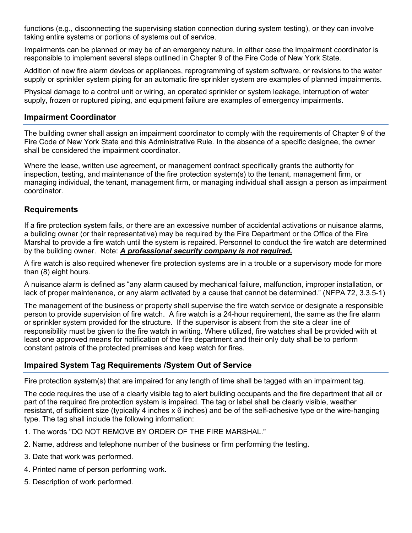functions (e.g., disconnecting the supervising station connection during system testing), or they can involve taking entire systems or portions of systems out of service.

Impairments can be planned or may be of an emergency nature, in either case the impairment coordinator is responsible to implement several steps outlined in Chapter 9 of the Fire Code of New York State.

Addition of new fire alarm devices or appliances, reprogramming of system software, or revisions to the water supply or sprinkler system piping for an automatic fire sprinkler system are examples of planned impairments.

Physical damage to a control unit or wiring, an operated sprinkler or system leakage, interruption of water supply, frozen or ruptured piping, and equipment failure are examples of emergency impairments.

#### **Impairment Coordinator**

The building owner shall assign an impairment coordinator to comply with the requirements of Chapter 9 of the Fire Code of New York State and this Administrative Rule. In the absence of a specific designee, the owner shall be considered the impairment coordinator.

Where the lease, written use agreement, or management contract specifically grants the authority for inspection, testing, and maintenance of the fire protection system(s) to the tenant, management firm, or managing individual, the tenant, management firm, or managing individual shall assign a person as impairment coordinator.

#### **Requirements**

If a fire protection system fails, or there are an excessive number of accidental activations or nuisance alarms, a building owner (or their representative) may be required by the Fire Department or the Office of the Fire Marshal to provide a fire watch until the system is repaired. Personnel to conduct the fire watch are determined by the building owner. Note: *A professional security company is not required***.**

A fire watch is also required whenever fire protection systems are in a trouble or a supervisory mode for more than (8) eight hours.

A nuisance alarm is defined as "any alarm caused by mechanical failure, malfunction, improper installation, or lack of proper maintenance, or any alarm activated by a cause that cannot be determined." (NFPA 72, 3.3.5-1)

The management of the business or property shall supervise the fire watch service or designate a responsible person to provide supervision of fire watch. A fire watch is a 24-hour requirement, the same as the fire alarm or sprinkler system provided for the structure. If the supervisor is absent from the site a clear line of responsibility must be given to the fire watch in writing. Where utilized, fire watches shall be provided with at least one approved means for notification of the fire department and their only duty shall be to perform constant patrols of the protected premises and keep watch for fires.

#### **Impaired System Tag Requirements /System Out of Service**

Fire protection system(s) that are impaired for any length of time shall be tagged with an impairment tag.

The code requires the use of a clearly visible tag to alert building occupants and the fire department that all or part of the required fire protection system is impaired. The tag or label shall be clearly visible, weather resistant, of sufficient size (typically 4 inches x 6 inches) and be of the self-adhesive type or the wire-hanging type. The tag shall include the following information:

- 1. The words "DO NOT REMOVE BY ORDER OF THE FIRE MARSHAL."
- 2. Name, address and telephone number of the business or firm performing the testing.
- 3. Date that work was performed.
- 4. Printed name of person performing work.
- 5. Description of work performed.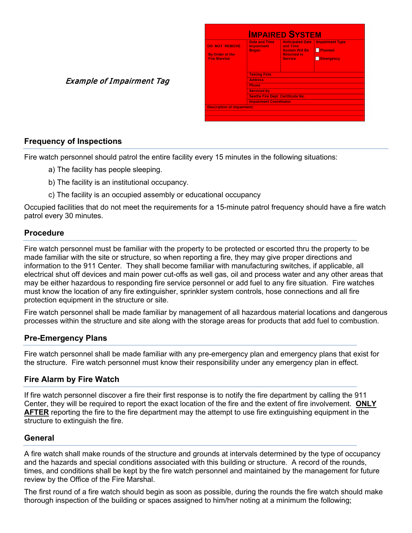| <b>DO NOT REMOVE</b><br><b>By Order of the</b><br><b>Fire Marshal</b> | <b>Date and Time</b><br><b>Impairment</b><br><b>Began</b> | <b>Anticipated Date</b><br>and Time<br><b>System Will Be</b><br><b>Returned to</b><br><b>Service</b> | <b>Impairment Type</b><br>Planned<br>Emergency |
|-----------------------------------------------------------------------|-----------------------------------------------------------|------------------------------------------------------------------------------------------------------|------------------------------------------------|
|                                                                       | <b>Testing Firm</b>                                       |                                                                                                      |                                                |
|                                                                       | <b>Address</b>                                            |                                                                                                      |                                                |
|                                                                       | <b>Phone</b>                                              |                                                                                                      |                                                |
|                                                                       | <b>Serviced by</b>                                        |                                                                                                      |                                                |
|                                                                       | <b>Seattle Fire Dept. Certificate No.</b>                 |                                                                                                      |                                                |
|                                                                       | <b>Impairment Coordinator</b>                             |                                                                                                      |                                                |
| <b>Description of impairment:</b>                                     |                                                           |                                                                                                      |                                                |

## **Frequency of Inspections**

Fire watch personnel should patrol the entire facility every 15 minutes in the following situations:

- a) The facility has people sleeping.
- b) The facility is an institutional occupancy.

Example of Impairment Tag

c) The facility is an occupied assembly or educational occupancy

Occupied facilities that do not meet the requirements for a 15-minute patrol frequency should have a fire watch patrol every 30 minutes.

#### **Procedure**

Fire watch personnel must be familiar with the property to be protected or escorted thru the property to be made familiar with the site or structure, so when reporting a fire, they may give proper directions and information to the 911 Center. They shall become familiar with manufacturing switches, if applicable, all electrical shut off devices and main power cut-offs as well gas, oil and process water and any other areas that may be either hazardous to responding fire service personnel or add fuel to any fire situation. Fire watches must know the location of any fire extinguisher, sprinkler system controls, hose connections and all fire protection equipment in the structure or site.

Fire watch personnel shall be made familiar by management of all hazardous material locations and dangerous processes within the structure and site along with the storage areas for products that add fuel to combustion.

#### **Pre-Emergency Plans**

Fire watch personnel shall be made familiar with any pre-emergency plan and emergency plans that exist for the structure. Fire watch personnel must know their responsibility under any emergency plan in effect.

#### **Fire Alarm by Fire Watch**

If fire watch personnel discover a fire their first response is to notify the fire department by calling the 911 Center, they will be required to report the exact location of the fire and the extent of fire involvement. **ONLY AFTER** reporting the fire to the fire department may the attempt to use fire extinguishing equipment in the structure to extinguish the fire.

#### **General**

A fire watch shall make rounds of the structure and grounds at intervals determined by the type of occupancy and the hazards and special conditions associated with this building or structure. A record of the rounds, times, and conditions shall be kept by the fire watch personnel and maintained by the management for future review by the Office of the Fire Marshal.

The first round of a fire watch should begin as soon as possible, during the rounds the fire watch should make thorough inspection of the building or spaces assigned to him/her noting at a minimum the following;